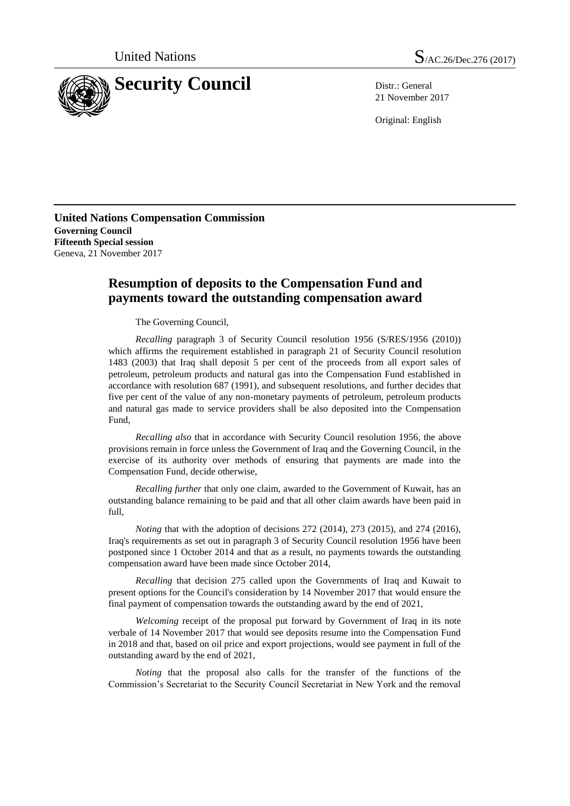

21 November 2017

Original: English

**United Nations Compensation Commission Governing Council Fifteenth Special session** Geneva, 21 November 2017

## **Resumption of deposits to the Compensation Fund and payments toward the outstanding compensation award**

The Governing Council,

*Recalling* paragraph 3 of Security Council resolution 1956 (S/RES/1956 (2010)) which affirms the requirement established in paragraph 21 of Security Council resolution 1483 (2003) that Iraq shall deposit 5 per cent of the proceeds from all export sales of petroleum, petroleum products and natural gas into the Compensation Fund established in accordance with resolution 687 (1991), and subsequent resolutions, and further decides that five per cent of the value of any non-monetary payments of petroleum, petroleum products and natural gas made to service providers shall be also deposited into the Compensation Fund,

*Recalling also* that in accordance with Security Council resolution 1956, the above provisions remain in force unless the Government of Iraq and the Governing Council, in the exercise of its authority over methods of ensuring that payments are made into the Compensation Fund, decide otherwise,

*Recalling further* that only one claim, awarded to the Government of Kuwait, has an outstanding balance remaining to be paid and that all other claim awards have been paid in full,

*Noting* that with the adoption of decisions 272 (2014), 273 (2015), and 274 (2016), Iraq's requirements as set out in paragraph 3 of Security Council resolution 1956 have been postponed since 1 October 2014 and that as a result, no payments towards the outstanding compensation award have been made since October 2014,

*Recalling* that decision 275 called upon the Governments of Iraq and Kuwait to present options for the Council's consideration by 14 November 2017 that would ensure the final payment of compensation towards the outstanding award by the end of 2021,

*Welcoming* receipt of the proposal put forward by Government of Iraq in its note verbale of 14 November 2017 that would see deposits resume into the Compensation Fund in 2018 and that, based on oil price and export projections, would see payment in full of the outstanding award by the end of 2021,

*Noting* that the proposal also calls for the transfer of the functions of the Commission's Secretariat to the Security Council Secretariat in New York and the removal